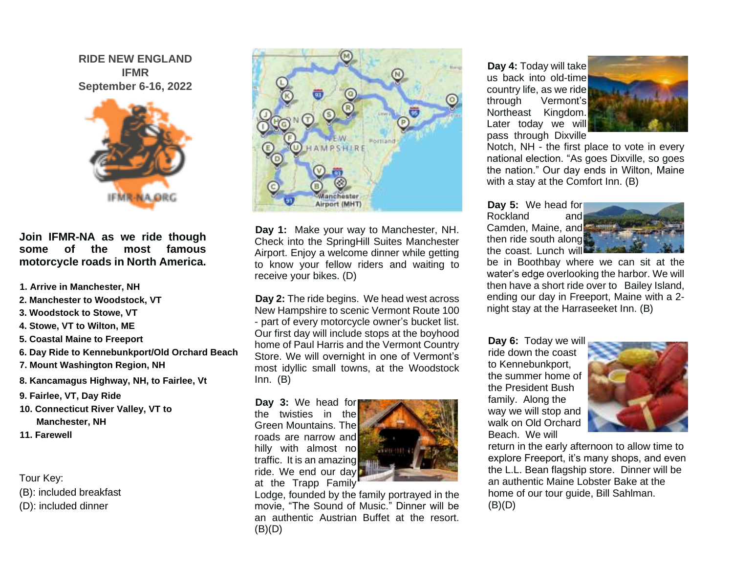**RIDE NEW ENGLAND IFMR September 6-16, 2022**



**Join IFMR-NA as we ride though some of the most famous motorcycle roads in North America.** 

- **1. Arrive in Manchester, NH**
- **2. Manchester to Woodstock, VT**
- **3. Woodstock to Stowe, VT**
- **4. Stowe, VT to Wilton, ME**
- **5. Coastal Maine to Freeport**
- **6. Day Ride to Kennebunkport/Old Orchard Beach**
- **7. Mount Washington Region, NH**
- **8. Kancamagus Highway, NH, to Fairlee, Vt**
- **9. Fairlee, VT, Day Ride**
- **10. Connecticut River Valley, VT to Manchester, NH**
- **11. Farewell**

Tour Key: (B): included breakfast

(D): included dinner



**Day 1:** Make your way to Manchester, NH. Check into the SpringHill Suites Manchester Airport. Enjoy a welcome dinner while getting to know your fellow riders and waiting to receive your bikes. (D)

**Day 2:** The ride begins. We head west across New Hampshire to scenic Vermont Route 100 - part of every motorcycle owner's bucket list. Our first day will include stops at the boyhood home of Paul Harris and the Vermont Country Store. We will overnight in one of Vermont's most idyllic small towns, at the Woodstock Inn. (B)

**Day 3:** We head for the twisties in the Green Mountains. The roads are narrow and hilly with almost no traffic. It is an amazing ride. We end our day at the Trapp Family



Lodge, founded by the family portrayed in the movie, "The Sound of Music." Dinner will be an authentic Austrian Buffet at the resort.  $(B)(D)$ 

**Day 4:** Today will take us back into old-time country life, as we ride through Vermont's Northeast Kingdom. Later today we will pass through Dixville



Notch, NH - the first place to vote in every national election. "As goes Dixville, so goes the nation." Our day ends in Wilton, Maine with a stay at the Comfort Inn. (B)

**Day 5:** We head for Rockland and Camden, Maine, and then ride south along the coast. Lunch will



be in Boothbay where we can sit at the water's edge overlooking the harbor. We will then have a short ride over to Bailey Island, ending our day in Freeport, Maine with a 2 night stay at the Harraseeket Inn. (B)

**Day 6:** Today we will ride down the coast to Kennebunkport, the summer home of the President Bush family. Along the way we will stop and walk on Old Orchard Beach. We will



return in the early afternoon to allow time to explore Freeport, it's many shops, and even the L.L. Bean flagship store. Dinner will be an authentic Maine Lobster Bake at the home of our tour guide, Bill Sahlman.  $(B)(D)$